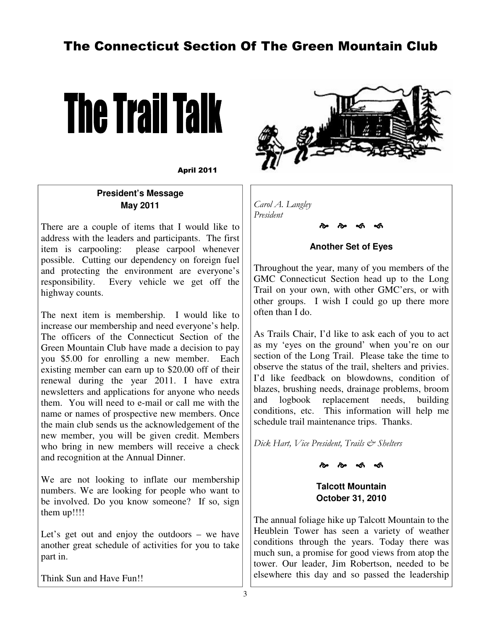# The Connecticut Section Of The Green Mountain Club



April 2011

## **President's Message May 2011**

There are a couple of items that I would like to address with the leaders and participants. The first item is carpooling: please carpool whenever possible. Cutting our dependency on foreign fuel and protecting the environment are everyone's responsibility. Every vehicle we get off the highway counts.

The next item is membership. I would like to increase our membership and need everyone's help. The officers of the Connecticut Section of the Green Mountain Club have made a decision to pay you \$5.00 for enrolling a new member. Each existing member can earn up to \$20.00 off of their renewal during the year 2011. I have extra newsletters and applications for anyone who needs them. You will need to e-mail or call me with the name or names of prospective new members. Once the main club sends us the acknowledgement of the new member, you will be given credit. Members who bring in new members will receive a check and recognition at the Annual Dinner.

We are not looking to inflate our membership numbers. We are looking for people who want to be involved. Do you know someone? If so, sign them up!!!!

Let's get out and enjoy the outdoors – we have another great schedule of activities for you to take part in.

Think Sun and Have Fun!!



*Carol A. Langley President* 

## **Another Set of Eyes**

-

-

Throughout the year, many of you members of the GMC Connecticut Section head up to the Long Trail on your own, with other GMC'ers, or with other groups. I wish I could go up there more often than I do.

As Trails Chair, I'd like to ask each of you to act as my 'eyes on the ground' when you're on our section of the Long Trail. Please take the time to observe the status of the trail, shelters and privies. I'd like feedback on blowdowns, condition of blazes, brushing needs, drainage problems, broom and logbook replacement needs, building conditions, etc. This information will help me schedule trail maintenance trips. Thanks.

*Dick Hart, Vice President, Trails & Shelters* 

--

**Talcott Mountain October 31, 2010** 

The annual foliage hike up Talcott Mountain to the Heublein Tower has seen a variety of weather conditions through the years. Today there was much sun, a promise for good views from atop the tower. Our leader, Jim Robertson, needed to be elsewhere this day and so passed the leadership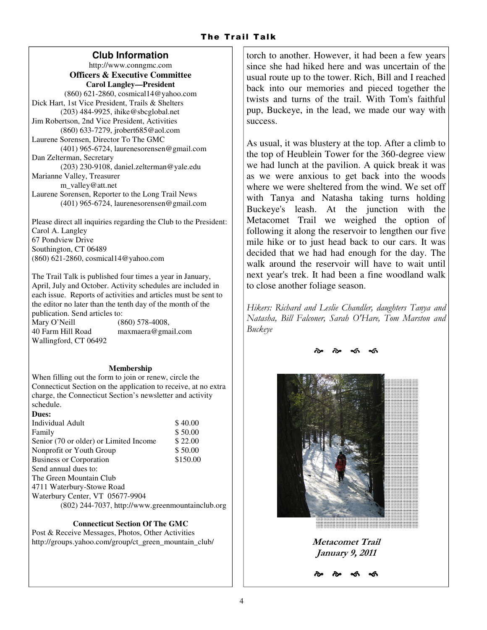## **Club Information**

http://www.conngmc.com **Officers & Executive Committee Carol Langley—President**  (860) 621-2860, cosmical14@yahoo.com Dick Hart, 1st Vice President, Trails & Shelters (203) 484-9925, ihike@sbcglobal.net Jim Robertson, 2nd Vice President, Activities (860) 633-7279, jrobert685@aol.com Laurene Sorensen, Director To The GMC (401) 965-6724, laurenesorensen@gmail.com Dan Zelterman, Secretary (203) 230-9108, daniel.zelterman@yale.edu Marianne Valley, Treasurer m\_valley@att.net Laurene Sorensen, Reporter to the Long Trail News (401) 965-6724, laurenesorensen@gmail.com

Please direct all inquiries regarding the Club to the President: Carol A. Langley 67 Pondview Drive Southington, CT 06489 (860) 621-2860, cosmical14@yahoo.com

The Trail Talk is published four times a year in January, April, July and October. Activity schedules are included in each issue. Reports of activities and articles must be sent to the editor no later than the tenth day of the month of the publication. Send articles to:

Mary O'Neill (860) 578-4008, 40 Farm Hill Road maxmaera@gmail.com Wallingford, CT 06492

### **Membership**

When filling out the form to join or renew, circle the Connecticut Section on the application to receive, at no extra charge, the Connecticut Section's newsletter and activity schedule.

| Dues:                                            |          |
|--------------------------------------------------|----------|
| Individual Adult                                 | \$40.00  |
| Family                                           | \$50.00  |
| Senior (70 or older) or Limited Income           | \$22.00  |
| Nonprofit or Youth Group                         | \$50.00  |
| <b>Business or Corporation</b>                   | \$150.00 |
| Send annual dues to:                             |          |
| The Green Mountain Club                          |          |
| 4711 Waterbury-Stowe Road                        |          |
| Waterbury Center, VT 05677-9904                  |          |
| (802) 244-7037, http://www.greenmountainclub.org |          |

### **Connecticut Section Of The GMC**

Post & Receive Messages, Photos, Other Activities http://groups.yahoo.com/group/ct\_green\_mountain\_club/ torch to another. However, it had been a few years since she had hiked here and was uncertain of the usual route up to the tower. Rich, Bill and I reached back into our memories and pieced together the twists and turns of the trail. With Tom's faithful pup, Buckeye, in the lead, we made our way with success.

As usual, it was blustery at the top. After a climb to the top of Heublein Tower for the 360-degree view we had lunch at the pavilion. A quick break it was as we were anxious to get back into the woods where we were sheltered from the wind. We set off with Tanya and Natasha taking turns holding Buckeye's leash. At the junction with the Metacomet Trail we weighed the option of following it along the reservoir to lengthen our five mile hike or to just head back to our cars. It was decided that we had had enough for the day. The walk around the reservoir will have to wait until next year's trek. It had been a fine woodland walk to close another foliage season.

*Hikers: Richard and Leslie Chandler, daughters Tanya and Natasha, Bill Falconer, Sarah O'Hare, Tom Marston and Buckeye* 

-

-



**Metacomet Trail January 9, 2011**   $\mathcal{L}$ 

-

-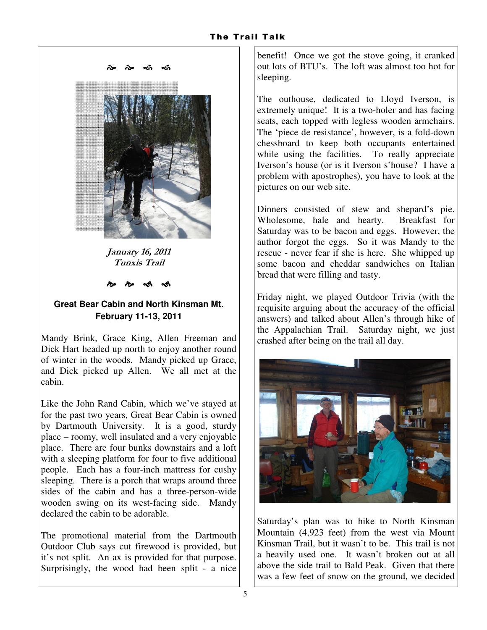

**January 16, 2011 Tunxis Trail** 

--

## **Great Bear Cabin and North Kinsman Mt. February 11-13, 2011**

Mandy Brink, Grace King, Allen Freeman and Dick Hart headed up north to enjoy another round of winter in the woods. Mandy picked up Grace, and Dick picked up Allen. We all met at the cabin.

Like the John Rand Cabin, which we've stayed at for the past two years, Great Bear Cabin is owned by Dartmouth University. It is a good, sturdy place – roomy, well insulated and a very enjoyable place. There are four bunks downstairs and a loft with a sleeping platform for four to five additional people. Each has a four-inch mattress for cushy sleeping. There is a porch that wraps around three sides of the cabin and has a three-person-wide wooden swing on its west-facing side. Mandy declared the cabin to be adorable.

The promotional material from the Dartmouth Outdoor Club says cut firewood is provided, but it's not split. An ax is provided for that purpose. Surprisingly, the wood had been split - a nice

benefit! Once we got the stove going, it cranked out lots of BTU's. The loft was almost too hot for sleeping.

The outhouse, dedicated to Lloyd Iverson, is extremely unique! It is a two-holer and has facing seats, each topped with legless wooden armchairs. The 'piece de resistance', however, is a fold-down chessboard to keep both occupants entertained while using the facilities. To really appreciate Iverson's house (or is it Iverson s'house? I have a problem with apostrophes), you have to look at the pictures on our web site.

Dinners consisted of stew and shepard's pie. Wholesome, hale and hearty. Breakfast for Saturday was to be bacon and eggs. However, the author forgot the eggs. So it was Mandy to the rescue - never fear if she is here. She whipped up some bacon and cheddar sandwiches on Italian bread that were filling and tasty.

Friday night, we played Outdoor Trivia (with the requisite arguing about the accuracy of the official answers) and talked about Allen's through hike of the Appalachian Trail. Saturday night, we just crashed after being on the trail all day.



Saturday's plan was to hike to North Kinsman Mountain (4,923 feet) from the west via Mount Kinsman Trail, but it wasn't to be. This trail is not a heavily used one. It wasn't broken out at all above the side trail to Bald Peak. Given that there was a few feet of snow on the ground, we decided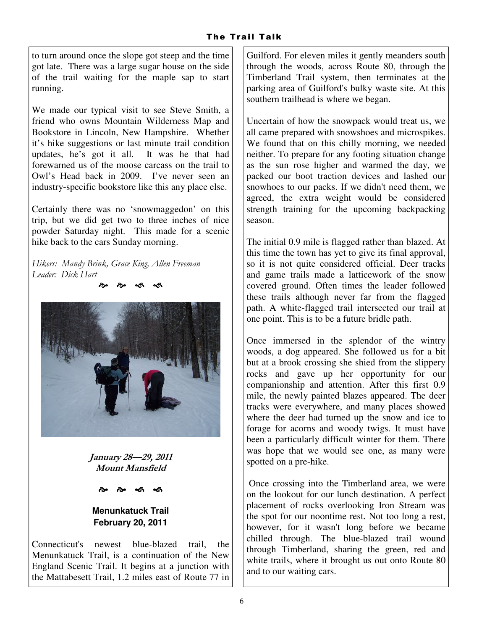to turn around once the slope got steep and the time got late. There was a large sugar house on the side of the trail waiting for the maple sap to start running.

We made our typical visit to see Steve Smith, a friend who owns Mountain Wilderness Map and Bookstore in Lincoln, New Hampshire. Whether it's hike suggestions or last minute trail condition updates, he's got it all. It was he that had forewarned us of the moose carcass on the trail to Owl's Head back in 2009. I've never seen an industry-specific bookstore like this any place else.

Certainly there was no 'snowmaggedon' on this trip, but we did get two to three inches of nice powder Saturday night. This made for a scenic hike back to the cars Sunday morning.

*Hikers: Mandy Brink, Grace King, Allen Freeman Leader: Dick Hart*  --



**January 28—29, 2011 Mount Mansfield** 

--

## **Menunkatuck Trail February 20, 2011**

Connecticut's newest blue-blazed trail, the Menunkatuck Trail, is a continuation of the New England Scenic Trail. It begins at a junction with the Mattabesett Trail, 1.2 miles east of Route 77 in Guilford. For eleven miles it gently meanders south through the woods, across Route 80, through the Timberland Trail system, then terminates at the parking area of Guilford's bulky waste site. At this southern trailhead is where we began.

Uncertain of how the snowpack would treat us, we all came prepared with snowshoes and microspikes. We found that on this chilly morning, we needed neither. To prepare for any footing situation change as the sun rose higher and warmed the day, we packed our boot traction devices and lashed our snowhoes to our packs. If we didn't need them, we agreed, the extra weight would be considered strength training for the upcoming backpacking season.

The initial 0.9 mile is flagged rather than blazed. At this time the town has yet to give its final approval, so it is not quite considered official. Deer tracks and game trails made a latticework of the snow covered ground. Often times the leader followed these trails although never far from the flagged path. A white-flagged trail intersected our trail at one point. This is to be a future bridle path.

Once immersed in the splendor of the wintry woods, a dog appeared. She followed us for a bit but at a brook crossing she shied from the slippery rocks and gave up her opportunity for our companionship and attention. After this first 0.9 mile, the newly painted blazes appeared. The deer tracks were everywhere, and many places showed where the deer had turned up the snow and ice to forage for acorns and woody twigs. It must have been a particularly difficult winter for them. There was hope that we would see one, as many were spotted on a pre-hike.

 Once crossing into the Timberland area, we were on the lookout for our lunch destination. A perfect placement of rocks overlooking Iron Stream was the spot for our noontime rest. Not too long a rest, however, for it wasn't long before we became chilled through. The blue-blazed trail wound through Timberland, sharing the green, red and white trails, where it brought us out onto Route 80 and to our waiting cars.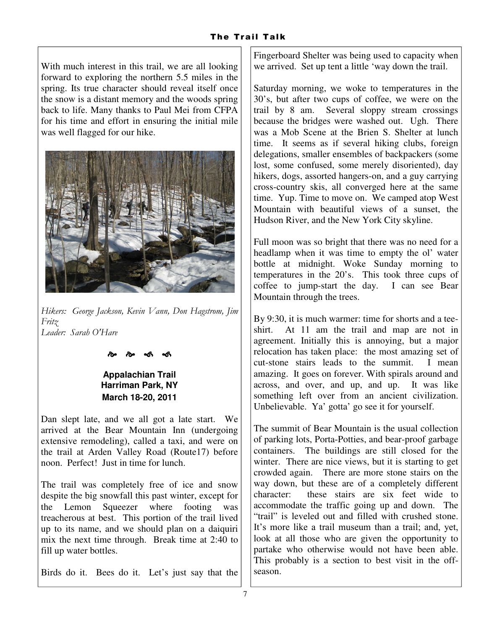With much interest in this trail, we are all looking forward to exploring the northern 5.5 miles in the spring. Its true character should reveal itself once the snow is a distant memory and the woods spring back to life. Many thanks to Paul Mei from CFPA for his time and effort in ensuring the initial mile was well flagged for our hike.



*Hikers: George Jackson, Kevin Vann, Don Hagstrom, Jim Fritz Leader: Sarah O'Hare* 

#### --

## **Appalachian Trail Harriman Park, NY March 18-20, 2011**

Dan slept late, and we all got a late start. We arrived at the Bear Mountain Inn (undergoing extensive remodeling), called a taxi, and were on the trail at Arden Valley Road (Route17) before noon. Perfect! Just in time for lunch.

The trail was completely free of ice and snow despite the big snowfall this past winter, except for the Lemon Squeezer where footing was treacherous at best. This portion of the trail lived up to its name, and we should plan on a daiquiri mix the next time through. Break time at 2:40 to fill up water bottles.

Birds do it. Bees do it. Let's just say that the

Fingerboard Shelter was being used to capacity when we arrived. Set up tent a little 'way down the trail.

Saturday morning, we woke to temperatures in the 30's, but after two cups of coffee, we were on the trail by 8 am. Several sloppy stream crossings because the bridges were washed out. Ugh. There was a Mob Scene at the Brien S. Shelter at lunch time. It seems as if several hiking clubs, foreign delegations, smaller ensembles of backpackers (some lost, some confused, some merely disoriented), day hikers, dogs, assorted hangers-on, and a guy carrying cross-country skis, all converged here at the same time. Yup. Time to move on. We camped atop West Mountain with beautiful views of a sunset, the Hudson River, and the New York City skyline.

Full moon was so bright that there was no need for a headlamp when it was time to empty the ol' water bottle at midnight. Woke Sunday morning to temperatures in the 20's. This took three cups of coffee to jump-start the day. I can see Bear Mountain through the trees.

By 9:30, it is much warmer: time for shorts and a teeshirt. At 11 am the trail and map are not in agreement. Initially this is annoying, but a major relocation has taken place: the most amazing set of cut-stone stairs leads to the summit. I mean amazing. It goes on forever. With spirals around and across, and over, and up, and up. It was like something left over from an ancient civilization. Unbelievable. Ya' gotta' go see it for yourself.

The summit of Bear Mountain is the usual collection of parking lots, Porta-Potties, and bear-proof garbage containers. The buildings are still closed for the winter. There are nice views, but it is starting to get crowded again. There are more stone stairs on the way down, but these are of a completely different character: these stairs are six feet wide to these stairs are six feet wide to accommodate the traffic going up and down. The "trail" is leveled out and filled with crushed stone. It's more like a trail museum than a trail; and, yet, look at all those who are given the opportunity to partake who otherwise would not have been able. This probably is a section to best visit in the offseason.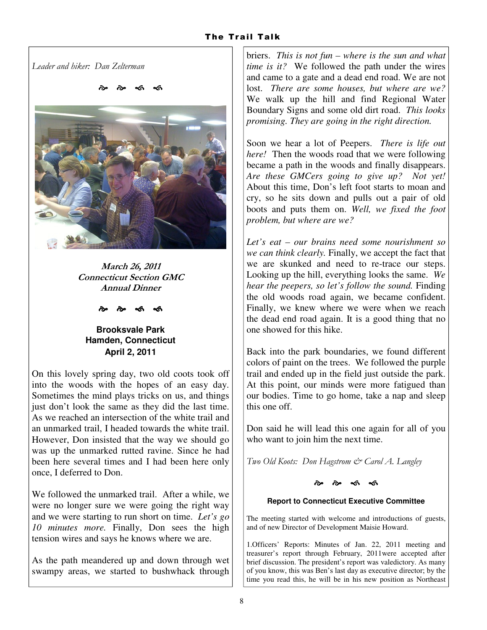*Leader and hiker: Dan Zelterman* 



**March 26, 2011 Connecticut Section GMC Annual Dinner** 

#### --

**Brooksvale Park Hamden, Connecticut April 2, 2011** 

On this lovely spring day, two old coots took off into the woods with the hopes of an easy day. Sometimes the mind plays tricks on us, and things just don't look the same as they did the last time. As we reached an intersection of the white trail and an unmarked trail, I headed towards the white trail. However, Don insisted that the way we should go was up the unmarked rutted ravine. Since he had been here several times and I had been here only once, I deferred to Don.

We followed the unmarked trail. After a while, we were no longer sure we were going the right way and we were starting to run short on time. *Let's go 10 minutes more.* Finally, Don sees the high tension wires and says he knows where we are.

As the path meandered up and down through wet swampy areas, we started to bushwhack through briers. *This is not fun – where is the sun and what time is it?* We followed the path under the wires and came to a gate and a dead end road. We are not lost. *There are some houses, but where are we?*  We walk up the hill and find Regional Water Boundary Signs and some old dirt road. *This looks promising. They are going in the right direction.*

Soon we hear a lot of Peepers. *There is life out here!* Then the woods road that we were following became a path in the woods and finally disappears. *Are these GMCers going to give up? Not yet!*  About this time, Don's left foot starts to moan and cry, so he sits down and pulls out a pair of old boots and puts them on. *Well, we fixed the foot problem, but where are we?* 

*Let's eat – our brains need some nourishment so we can think clearly.* Finally, we accept the fact that we are skunked and need to re-trace our steps. Looking up the hill, everything looks the same. *We hear the peepers, so let's follow the sound.* Finding the old woods road again, we became confident. Finally, we knew where we were when we reach the dead end road again. It is a good thing that no one showed for this hike.

Back into the park boundaries, we found different colors of paint on the trees. We followed the purple trail and ended up in the field just outside the park. At this point, our minds were more fatigued than our bodies. Time to go home, take a nap and sleep this one off.

Don said he will lead this one again for all of you who want to join him the next time.

*Two Old Koots: Don Hagstrom & Carol A. Langley* 

#### --

### **Report to Connecticut Executive Committee**

The meeting started with welcome and introductions of guests, and of new Director of Development Maisie Howard.

1.Officers' Reports: Minutes of Jan. 22, 2011 meeting and treasurer's report through February, 2011were accepted after brief discussion. The president's report was valedictory. As many of you know, this was Ben's last day as executive director; by the time you read this, he will be in his new position as Northeast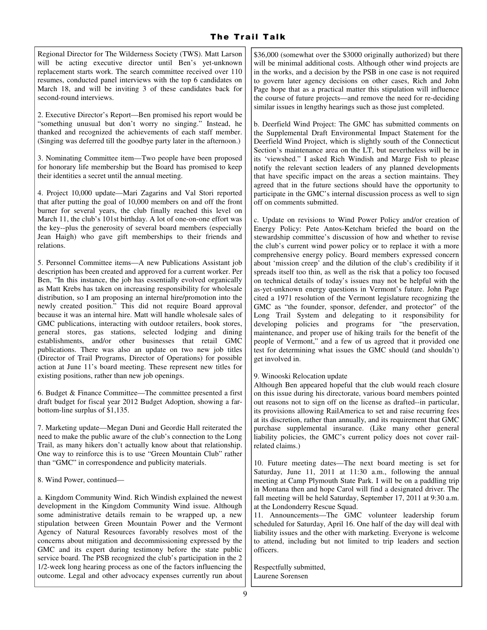Regional Director for The Wilderness Society (TWS). Matt Larson will be acting executive director until Ben's yet-unknown replacement starts work. The search committee received over 110 resumes, conducted panel interviews with the top 6 candidates on March 18, and will be inviting 3 of these candidates back for second-round interviews.

2. Executive Director's Report—Ben promised his report would be "something unusual but don't worry no singing." Instead, he thanked and recognized the achievements of each staff member. (Singing was deferred till the goodbye party later in the afternoon.)

3. Nominating Committee item—Two people have been proposed for honorary life membership but the Board has promised to keep their identities a secret until the annual meeting.

4. Project 10,000 update—Mari Zagarins and Val Stori reported that after putting the goal of 10,000 members on and off the front burner for several years, the club finally reached this level on March 11, the club's 101st birthday. A lot of one-on-one effort was the key--plus the generosity of several board members (especially Jean Haigh) who gave gift memberships to their friends and relations.

5. Personnel Committee items—A new Publications Assistant job description has been created and approved for a current worker. Per Ben, "In this instance, the job has essentially evolved organically as Matt Krebs has taken on increasing responsibility for wholesale distribution, so I am proposing an internal hire/promotion into the newly created position." This did not require Board approval because it was an internal hire. Matt will handle wholesale sales of GMC publications, interacting with outdoor retailers, book stores, general stores, gas stations, selected lodging and dining establishments, and/or other businesses that retail GMC publications. There was also an update on two new job titles (Director of Trail Programs, Director of Operations) for possible action at June 11's board meeting. These represent new titles for existing positions, rather than new job openings.

6. Budget & Finance Committee—The committee presented a first draft budget for fiscal year 2012 Budget Adoption, showing a farbottom-line surplus of \$1,135.

7. Marketing update—Megan Duni and Geordie Hall reiterated the need to make the public aware of the club's connection to the Long Trail, as many hikers don't actually know about that relationship. One way to reinforce this is to use "Green Mountain Club" rather than "GMC" in correspondence and publicity materials.

8. Wind Power, continued—

a. Kingdom Community Wind. Rich Windish explained the newest development in the Kingdom Community Wind issue. Although some administrative details remain to be wrapped up, a new stipulation between Green Mountain Power and the Vermont Agency of Natural Resources favorably resolves most of the concerns about mitigation and decommissioning expressed by the GMC and its expert during testimony before the state public service board. The PSB recognized the club's participation in the 2 1/2-week long hearing process as one of the factors influencing the outcome. Legal and other advocacy expenses currently run about \$36,000 (somewhat over the \$3000 originally authorized) but there will be minimal additional costs. Although other wind projects are in the works, and a decision by the PSB in one case is not required to govern later agency decisions on other cases, Rich and John Page hope that as a practical matter this stipulation will influence the course of future projects—and remove the need for re-deciding similar issues in lengthy hearings such as those just completed.

b. Deerfield Wind Project: The GMC has submitted comments on the Supplemental Draft Environmental Impact Statement for the Deerfield Wind Project, which is slightly south of the Connecticut Section's maintenance area on the LT, but nevertheless will be in its 'viewshed." I asked Rich Windish and Marge Fish to please notify the relevant section leaders of any planned developments that have specific impact on the areas a section maintains. They agreed that in the future sections should have the opportunity to participate in the GMC's internal discussion process as well to sign off on comments submitted.

c. Update on revisions to Wind Power Policy and/or creation of Energy Policy: Pete Antos-Ketcham briefed the board on the stewardship committee's discussion of how and whether to revise the club's current wind power policy or to replace it with a more comprehensive energy policy. Board members expressed concern about 'mission creep' and the dilution of the club's credibility if it spreads itself too thin, as well as the risk that a policy too focused on technical details of today's issues may not be helpful with the as-yet-unknown energy questions in Vermont's future. John Page cited a 1971 resolution of the Vermont legislature recognizing the GMC as "the founder, sponsor, defender, and protector" of the Long Trail System and delegating to it responsibility for developing policies and programs for "the preservation, maintenance, and proper use of hiking trails for the benefit of the people of Vermont," and a few of us agreed that it provided one test for determining what issues the GMC should (and shouldn't) get involved in.

#### 9. Winooski Relocation update

Although Ben appeared hopeful that the club would reach closure on this issue during his directorate, various board members pointed out reasons not to sign off on the license as drafted--in particular, its provisions allowing RailAmerica to set and raise recurring fees at its discretion, rather than annually, and its requirement that GMC purchase supplemental insurance. (Like many other general liability policies, the GMC's current policy does not cover railrelated claims.)

10. Future meeting dates—The next board meeting is set for Saturday, June 11, 2011 at 11:30 a.m., following the annual meeting at Camp Plymouth State Park. I will be on a paddling trip in Montana then and hope Carol will find a designated driver. The fall meeting will be held Saturday, September 17, 2011 at 9:30 a.m. at the Londonderry Rescue Squad.

11. Announcements—The GMC volunteer leadership forum scheduled for Saturday, April 16. One half of the day will deal with liability issues and the other with marketing. Everyone is welcome to attend, including but not limited to trip leaders and section officers.

Respectfully submitted, Laurene Sorensen